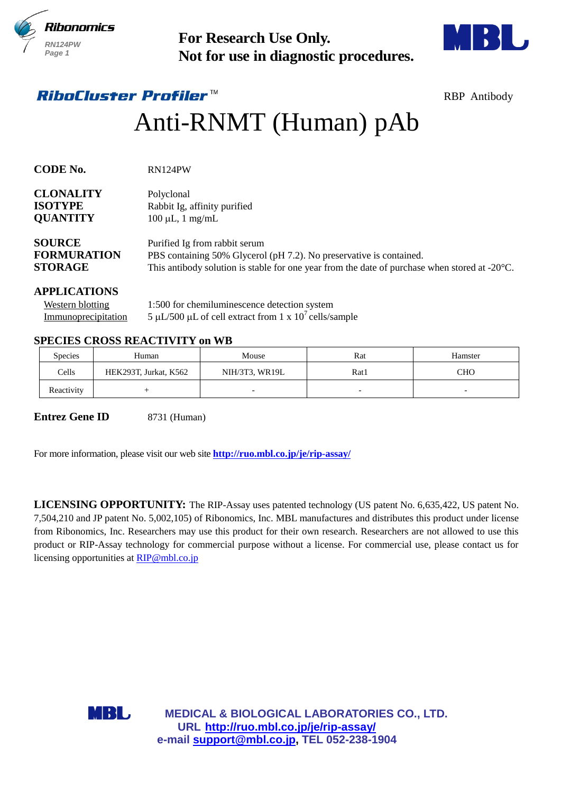



# Anti-RNMT (Human) pAb

| <b>RN124PW</b><br>Page 1                                              |     |                                                                     | <b>For Research Use Only.</b><br>Not for use in diagnostic procedures.                                                                                                                                          |      |                                                                                                                                                                                                                                               |  |  |  |
|-----------------------------------------------------------------------|-----|---------------------------------------------------------------------|-----------------------------------------------------------------------------------------------------------------------------------------------------------------------------------------------------------------|------|-----------------------------------------------------------------------------------------------------------------------------------------------------------------------------------------------------------------------------------------------|--|--|--|
| <i><b>RiboCluster Profiler™</b></i>                                   |     |                                                                     |                                                                                                                                                                                                                 |      | <b>RBP</b> Antibody                                                                                                                                                                                                                           |  |  |  |
|                                                                       |     |                                                                     | Anti-RNMT (Human) pAb                                                                                                                                                                                           |      |                                                                                                                                                                                                                                               |  |  |  |
| <b>CODE No.</b>                                                       |     | RN124PW                                                             |                                                                                                                                                                                                                 |      |                                                                                                                                                                                                                                               |  |  |  |
| <b>CLONALITY</b><br><b>ISOTYPE</b><br><b>QUANTITY</b>                 |     | Polyclonal<br>Rabbit Ig, affinity purified<br>$100 \mu L$ , 1 mg/mL |                                                                                                                                                                                                                 |      |                                                                                                                                                                                                                                               |  |  |  |
| <b>SOURCE</b><br><b>FORMURATION</b><br><b>STORAGE</b>                 |     |                                                                     | Purified Ig from rabbit serum<br>PBS containing 50% Glycerol (pH 7.2). No preservative is contained.<br>This antibody solution is stable for one year from the date of purchase when stored at $-20^{\circ}$ C. |      |                                                                                                                                                                                                                                               |  |  |  |
| <b>APPLICATIONS</b><br><b>Western blotting</b><br>Immunoprecipitation |     |                                                                     | 1:500 for chemiluminescence detection system<br>5 µL/500 µL of cell extract from 1 x $10^7$ cells/sample                                                                                                        |      |                                                                                                                                                                                                                                               |  |  |  |
| <b>SPECIES CROSS REACTIVITY on WB</b>                                 |     |                                                                     |                                                                                                                                                                                                                 |      |                                                                                                                                                                                                                                               |  |  |  |
| Species                                                               |     | Human                                                               | Mouse                                                                                                                                                                                                           | Rat  | Hamster                                                                                                                                                                                                                                       |  |  |  |
| Cells                                                                 |     | HEK293T, Jurkat, K562                                               | NIH/3T3, WR19L                                                                                                                                                                                                  | Rat1 | <b>CHO</b>                                                                                                                                                                                                                                    |  |  |  |
| Reactivity                                                            |     | $^{+}$                                                              |                                                                                                                                                                                                                 |      |                                                                                                                                                                                                                                               |  |  |  |
| <b>Entrez Gene ID</b>                                                 |     | 8731 (Human)                                                        | For more information, please visit our web site <b>http://ruo.mbl.co.jp/je/rip-assay/</b>                                                                                                                       |      | LICENSING OPPORTUNITY: The RIP-Assay uses patented technology (US patent No. 6,635,422, US patent No.<br>7,504,210 and JP patent No. 5,002,105) of Ribonomics, Inc. MBL manufactures and distributes this product under license               |  |  |  |
| licensing opportunities at RIP@mbl.co.jp                              |     |                                                                     |                                                                                                                                                                                                                 |      | from Ribonomics, Inc. Researchers may use this product for their own research. Researchers are not allowed to use this<br>product or RIP-Assay technology for commercial purpose without a license. For commercial use, please contact us for |  |  |  |
|                                                                       | MBL |                                                                     | MEDICAL & BIOLOGICAL LABORATORIES CO., LTD.<br>URL http://ruo.mbl.co.jp/je/rip-assay/<br>e-mail support@mbl.co.jp, TEL 052-238-1904                                                                             |      |                                                                                                                                                                                                                                               |  |  |  |

## **APPLICATIONS**

## **SPECIES CROSS REACTIVITY on WB**

| Species    | Human                 | Mouse          | Rat  | Hamster                  |
|------------|-----------------------|----------------|------|--------------------------|
| Cells      | HEK293T, Jurkat, K562 | NIH/3T3, WR19L | Rat1 | <b>CHO</b>               |
| Reactivity |                       | -              |      | $\overline{\phantom{0}}$ |

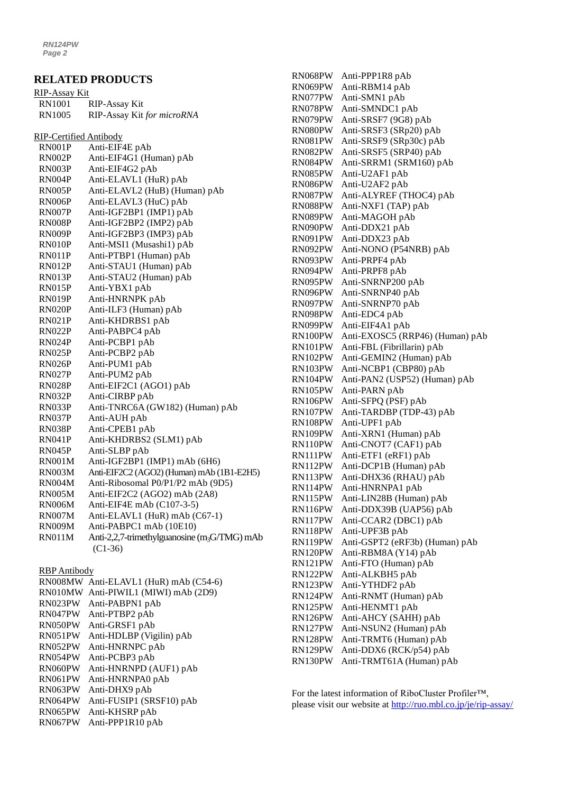#### **RELATED PRODUCTS**

| <u>RIP-Assay Kit</u>   |                                                          |
|------------------------|----------------------------------------------------------|
| <b>RN1001</b>          | <b>RIP-Assay Kit</b>                                     |
| <b>RN1005</b>          | RIP-Assay Kit for microRNA                               |
|                        |                                                          |
| RIP-Certified Antibody |                                                          |
| RN001P                 | Anti-EIF4E pAb                                           |
| RN002P                 | Anti-EIF4G1 (Human) pAb                                  |
| RN003P                 | Anti-EIF4G2 pAb                                          |
| RN004P                 | Anti-ELAVL1 (HuR) pAb                                    |
| <b>RN005P</b>          | Anti-ELAVL2 (HuB) (Human) pAb                            |
| RN006P                 | Anti-ELAVL3 (HuC) pAb                                    |
| RN007P                 | Anti-IGF2BP1 (IMP1) pAb                                  |
| RN008P                 | Anti-IGF2BP2 (IMP2) pAb                                  |
| RN009P                 | Anti-IGF2BP3 (IMP3) pAb                                  |
| RN010P                 | Anti-MSI1 (Musashi1) pAb                                 |
| RN011P                 | Anti-PTBP1 (Human) pAb                                   |
| RN012P                 | Anti-STAU1 (Human) pAb                                   |
| RN013P                 | Anti-STAU2 (Human) pAb                                   |
| RN015P                 | Anti-YBX1 pAb                                            |
| RN019P                 | Anti-HNRNPK pAb                                          |
| <b>RN020P</b>          | Anti-ILF3 (Human) pAb                                    |
| <b>RN021P</b>          | Anti-KHDRBS1 pAb                                         |
| <b>RN022P</b>          | Anti-PABPC4 pAb                                          |
| RN024P                 | Anti-PCBP1 pAb                                           |
| RN025P                 | Anti-PCBP2 pAb                                           |
| RN026P                 | Anti-PUM1 pAb                                            |
| RN027P                 | Anti-PUM2 pAb                                            |
| <b>RN028P</b>          | Anti-EIF2C1 (AGO1) pAb                                   |
| RN032P                 | Anti-CIRBP pAb                                           |
| RN033P                 | Anti-TNRC6A (GW182) (Human) pAb                          |
| RN037P                 | Anti-AUH pAb                                             |
| RN038P                 | Anti-CPEB1 pAb                                           |
| <b>RN041P</b>          | Anti-KHDRBS2 (SLM1) pAb                                  |
| RN045P                 | Anti-SLBP pAb                                            |
| <b>RN001M</b>          | Anti-IGF2BP1 (IMP1) mAb (6H6)                            |
| <b>RN003M</b>          | Anti-EIF2C2 (AGO2) (Human) mAb (1B1-E2H5)                |
| <b>RN004M</b>          | Anti-Ribosomal P0/P1/P2 mAb (9D5)                        |
| <b>RN005M</b>          | Anti-EIF2C2 (AGO2) mAb (2A8)                             |
| RN006M                 | Anti-EIF4E mAb (C107-3-5)                                |
| RN007M                 | Anti-ELAVL1 (HuR) mAb (C67-1)                            |
| RN009M                 | Anti-PABPC1 mAb (10E10)                                  |
| <b>RN011M</b>          | Anti-2,2,7-trimethylguanosine (m <sub>3</sub> G/TMG) mAb |
|                        | $(C1-36)$                                                |
| <b>RBP</b> Antibody    |                                                          |
| RN008MW                | Anti-ELAVL1 (HuR) mAb (C54-6)                            |
| RN010MW                | Anti-PIWIL1 (MIWI) mAb (2D9)                             |
| RN023PW                | Anti-PABPN1 pAb                                          |
| RN047PW                | Anti-PTBP2 pAb                                           |
| RN050PW                | Anti-GRSF1 pAb                                           |
| RN051PW                | Anti-HDLBP (Vigilin) pAb                                 |
| RN052PW                | Anti-HNRNPC pAb                                          |
| RN054PW                | Anti-PCBP3 pAb                                           |
| RN060PW                | Anti-HNRNPD (AUF1) pAb                                   |
| RN061PW                | Anti-HNRNPA0 pAb                                         |

RN063PW Anti-DHX9 pAb

RN065PW Anti-KHSRP pAb RN067PW Anti-PPP1R10 pAb

RN064PW Anti-FUSIP1 (SRSF10) pAb

RN068PW Anti-PPP1R8 pAb RN069PW Anti-RBM14 pAb RN077PW Anti-SMN1 pAb RN078PW Anti-SMNDC1 pAb RN079PW Anti-SRSF7 (9G8) pAb RN080PW Anti-SRSF3 (SRp20) pAb RN081PW Anti-SRSF9 (SRp30c) pAb RN082PW Anti-SRSF5 (SRP40) pAb RN084PW Anti-SRRM1 (SRM160) pAb RN085PW Anti-U2AF1 pAb RN086PW Anti-U2AF2 pAb RN087PW Anti-ALYREF (THOC4) pAb RN088PW Anti-NXF1 (TAP) pAb RN089PW Anti-MAGOH pAb RN090PW Anti-DDX21 pAb RN091PW Anti-DDX23 pAb RN092PW Anti-NONO (P54NRB) pAb RN093PW Anti-PRPF4 pAb RN094PW Anti-PRPF8 pAb RN095PW Anti-SNRNP200 pAb RN096PW Anti-SNRNP40 pAb RN097PW Anti-SNRNP70 pAb RN098PW Anti-EDC4 pAb RN099PW Anti-EIF4A1 pAb RN100PW Anti-EXOSC5 (RRP46) (Human) pAb RN101PW Anti-FBL (Fibrillarin) pAb RN102PW Anti-GEMIN2 (Human) pAb RN103PW Anti-NCBP1 (CBP80) pAb RN104PW Anti-PAN2 (USP52) (Human) pAb RN105PW Anti-PARN pAb RN106PW Anti-SFPQ (PSF) pAb RN107PW Anti-TARDBP (TDP-43) pAb RN108PW Anti-UPF1 pAb RN109PW Anti-XRN1 (Human) pAb RN110PW Anti-CNOT7 (CAF1) pAb RN111PW Anti-ETF1 (eRF1) pAb RN112PW Anti-DCP1B (Human) pAb RN113PW Anti-DHX36 (RHAU) pAb RN114PW Anti-HNRNPA1 pAb RN115PW Anti-LIN28B (Human) pAb RN116PW Anti-DDX39B (UAP56) pAb RN117PW Anti-CCAR2 (DBC1) pAb RN118PW Anti-UPF3B pAb RN119PW Anti-GSPT2 (eRF3b) (Human) pAb RN120PW Anti-RBM8A (Y14) pAb RN121PW Anti-FTO (Human) pAb RN122PW Anti-ALKBH5 pAb RN123PW Anti-YTHDF2 pAb RN124PW Anti-RNMT (Human) pAb RN125PW Anti-HENMT1 pAb RN126PW Anti-AHCY (SAHH) pAb RN127PW Anti-NSUN2 (Human) pAb RN128PW Anti-TRMT6 (Human) pAb

For the latest information of RiboCluster Profiler™, please visit our website at<http://ruo.mbl.co.jp/je/rip-assay/>

RN129PW Anti-DDX6 (RCK/p54) pAb RN130PW Anti-TRMT61A (Human) pAb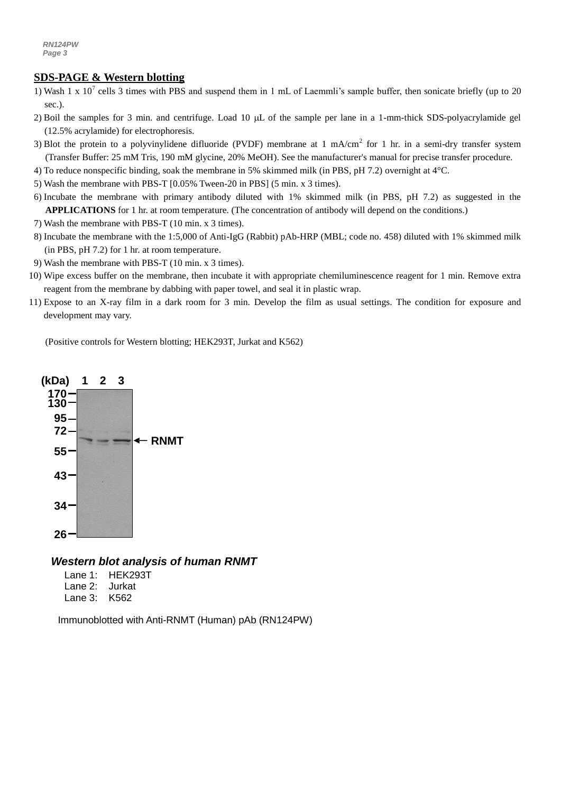#### *a g* **SDS-PAGE & Western blotting**

- 1) Wash 1 x 10<sup>7</sup> cells 3 times with PBS and suspend them in 1 mL of Laemmli's sample buffer, then sonicate briefly (up to 20 sec.).
- 2) Boil the samples for 3 min. and centrifuge. Load 10  $\mu$ L of the sample per lane in a 1-mm-thick SDS-polyacrylamide gel (12.5% acrylamide) for electrophoresis.
- 3) Blot the protein to a polyvinylidene difluoride (PVDF) membrane at 1 mA/cm<sup>2</sup> for 1 hr. in a semi-dry transfer system (Transfer Buffer: 25 mM Tris, 190 mM glycine, 20% MeOH). See the manufacturer's manual for precise transfer procedure.
- 4) To reduce nonspecific binding, soak the membrane in 5% skimmed milk (in PBS, pH 7.2) overnight at 4°C.
- 5) Wash the membrane with PBS-T [0.05% Tween-20 in PBS] (5 min. x 3 times).
- 6) Incubate the membrane with primary antibody diluted with 1% skimmed milk (in PBS, pH 7.2) as suggested in the **APPLICATIONS** for 1 hr. at room temperature. (The concentration of antibody will depend on the conditions.)
- 7) Wash the membrane with PBS-T (10 min. x 3 times).
- 8) Incubate the membrane with the 1:5,000 o[f Anti-IgG \(Rabbit\) pAb-HRP](http://ruo.mbl.co.jp/g/dtl/A/330/) (MBL; code no. 458) diluted with 1% skimmed milk (in PBS, pH 7.2) for 1 hr. at room temperature.
- 9) Wash the membrane with PBS-T (10 min. x 3 times).
- 10) Wipe excess buffer on the membrane, then incubate it with appropriate chemiluminescence reagent for 1 min. Remove extra reagent from the membrane by dabbing with paper towel, and seal it in plastic wrap.
- 11) Expose to an X-ray film in a dark room for 3 min. Develop the film as usual settings. The condition for exposure and development may vary.

(Positive controls for Western blotting; HEK293T, Jurkat and K562)



#### *Western blot analysis of human RNMT*

- Lane 1: HEK293T Lane 2: Jurkat
- Lane 3: K562

Immunoblotted with Anti-RNMT (Human) pAb (RN124PW)